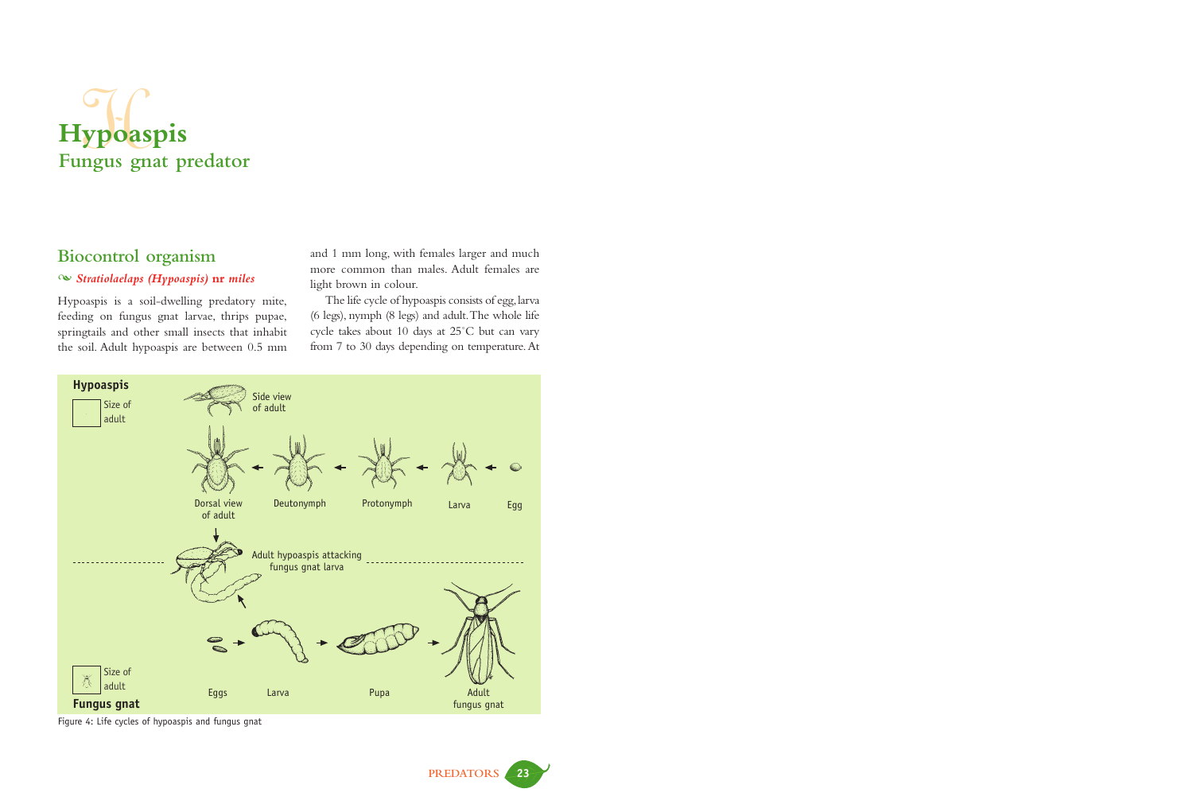# **Hypoaspis Fungus gnat predator** ypoas

# **Biocontrol organism**

#### - *Stratiolaelaps (Hypoaspis)* **nr** *miles*

Hypoaspis is a soil-dwelling predatory mite, feeding on fungus gnat larvae, thrips pupae, springtails and other small insects that inhabit the soil. Adult hypoaspis are between 0.5 mm

and 1 mm long, with females larger and much more common than males. Adult females are light brown in colour.

The life cycle of hypoaspis consists of egg, larva (6 legs), nymph (8 legs) and adult.The whole life cycle takes about 10 days at 25˚C but can vary from 7 to 30 days depending on temperature.At



Figure 4: Life cycles of hypoaspis and fungus gnat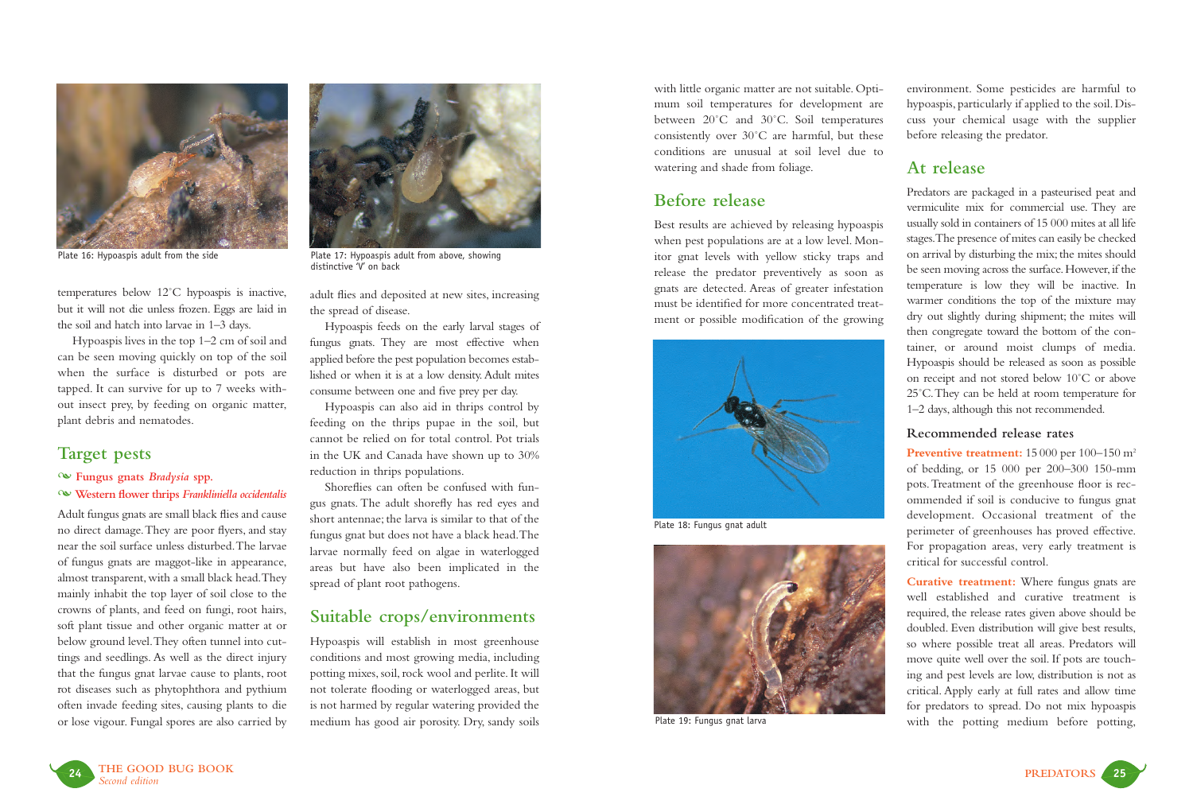

temperatures below 12˚C hypoaspis is inactive, but it will not die unless frozen. Eggs are laid in the soil and hatch into larvae in 1–3 days.

Hypoaspis lives in the top 1–2 cm of soil and can be seen moving quickly on top of the soil when the surface is disturbed or pots are tapped. It can survive for up to 7 weeks without insect prey, by feeding on organic matter, plant debris and nematodes.

# **Target pests**

#### - **Fungus gnats** *Bradysia* **spp.**

- **Western flower thrips** *Frankliniella occidentalis* 

Adult fungus gnats are small black flies and cause no direct damage.They are poor flyers, and stay near the soil surface unless disturbed.The larvae of fungus gnats are maggot-like in appearance, almost transparent, with a small black head. They mainly inhabit the top layer of soil close to the crowns of plants, and feed on fungi, root hairs, soft plant tissue and other organic matter at or below ground level.They often tunnel into cuttings and seedlings. As well as the direct injury that the fungus gnat larvae cause to plants, root rot diseases such as phytophthora and pythium often invade feeding sites, causing plants to die or lose vigour. Fungal spores are also carried by



Plate 16: Hypoaspis adult from the side Plate 17: Hypoaspis adult from above, showing distinctive 'V' on back

adult flies and deposited at new sites, increasing the spread of disease.

Hypoaspis feeds on the early larval stages of fungus gnats. They are most effective when applied before the pest population becomes established or when it is at a low density. Adult mites consume between one and five prey per day.

Hypoaspis can also aid in thrips control by feeding on the thrips pupae in the soil, but cannot be relied on for total control. Pot trials in the UK and Canada have shown up to 30% reduction in thrips populations.

Shoreflies can often be confused with fungus gnats. The adult shorefly has red eyes and short antennae; the larva is similar to that of the fungus gnat but does not have a black head.The larvae normally feed on algae in waterlogged areas but have also been implicated in the spread of plant root pathogens.

## **Suitable crops/environments**

Hypoaspis will establish in most greenhouse conditions and most growing media, including potting mixes, soil, rock wool and perlite. It will not tolerate flooding or waterlogged areas, but is not harmed by regular watering provided the medium has good air porosity. Dry, sandy soils

with little organic matter are not suitable. Optimum soil temperatures for development are between 20˚C and 30˚C. Soil temperatures consistently over 30˚C are harmful, but these conditions are unusual at soil level due to watering and shade from foliage.

## **Before release**

Best results are achieved by releasing hypoaspis when pest populations are at a low level. Monitor gnat levels with yellow sticky traps and release the predator preventively as soon as gnats are detected. Areas of greater infestation must be identified for more concentrated treatment or possible modification of the growing



Plate 18: Fungus gnat adult



Plate 19: Fungus gnat larva

environment. Some pesticides are harmful to hypoaspis, particularly if applied to the soil. Discuss your chemical usage with the supplier before releasing the predator.

## **At release**

Predators are packaged in a pasteurised peat and vermiculite mix for commercial use. They are usually sold in containers of 15 000 mites at all life stages.The presence of mites can easily be checked on arrival by disturbing the mix; the mites should be seen moving across the surface. However, if the temperature is low they will be inactive. In warmer conditions the top of the mixture may dry out slightly during shipment; the mites will then congregate toward the bottom of the container, or around moist clumps of media. Hypoaspis should be released as soon as possible on receipt and not stored below 10˚C or above 25˚C.They can be held at room temperature for 1–2 days, although this not recommended.

#### **Recommended release rates**

Preventive treatment: 15 000 per 100–150 m<sup>2</sup> of bedding, or 15 000 per 200–300 150-mm pots.Treatment of the greenhouse floor is recommended if soil is conducive to fungus gnat development. Occasional treatment of the perimeter of greenhouses has proved effective. For propagation areas, very early treatment is critical for successful control.

**Curative treatment:** Where fungus gnats are well established and curative treatment is required, the release rates given above should be doubled. Even distribution will give best results, so where possible treat all areas. Predators will move quite well over the soil. If pots are touching and pest levels are low, distribution is not as critical. Apply early at full rates and allow time for predators to spread. Do not mix hypoaspis with the potting medium before potting,